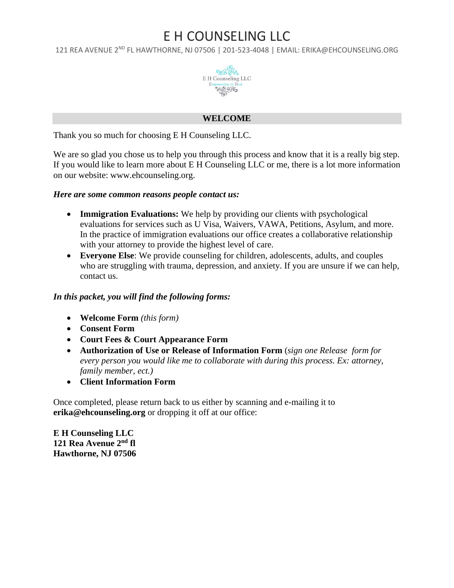121 REA AVENUE 2<sup>ND</sup> FL HAWTHORNE, NJ 07506 | 201-523-4048 | EMAIL: ERIKA@EHCOUNSELING.ORG



### **WELCOME**

Thank you so much for choosing E H Counseling LLC.

We are so glad you chose us to help you through this process and know that it is a really big step. If you would like to learn more about E H Counseling LLC or me, there is a lot more information on our website: www.ehcounseling.org.

#### *Here are some common reasons people contact us:*

- **Immigration Evaluations:** We help by providing our clients with psychological evaluations for services such as U Visa, Waivers, VAWA, Petitions, Asylum, and more. In the practice of immigration evaluations our office creates a collaborative relationship with your attorney to provide the highest level of care.
- **Everyone Else**: We provide counseling for children, adolescents, adults, and couples who are struggling with trauma, depression, and anxiety. If you are unsure if we can help, contact us.

### *In this packet, you will find the following forms:*

- **Welcome Form** *(this form)*
- **Consent Form**
- **Court Fees & Court Appearance Form**
- **Authorization of Use or Release of Information Form** (*sign one Release form for every person you would like me to collaborate with during this process. Ex: attorney, family member, ect.)*
- **Client Information Form**

Once completed, please return back to us either by scanning and e-mailing it to **[erika@ehcounseling.org](mailto:erika@ehcounseling.org)** or dropping it off at our office:

**E H Counseling LLC 121 Rea Avenue 2nd fl Hawthorne, NJ 07506**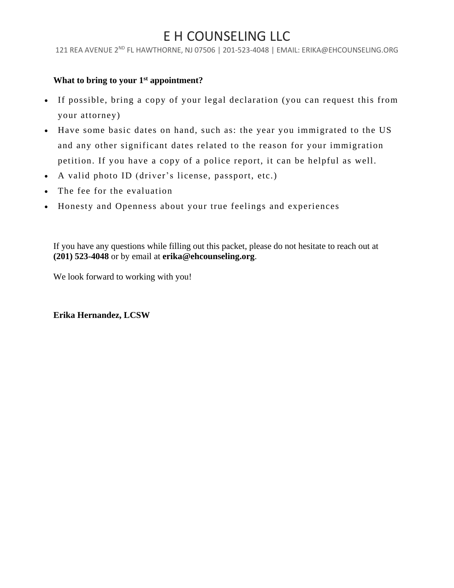121 REA AVENUE 2ND FL HAWTHORNE, NJ 07506 | 201-523-4048 | EMAIL: ERIKA@EHCOUNSELING.ORG

## **What to bring to your 1st appointment?**

- If possible, bring a copy of your legal declaration (you can request this from your attorney)
- Have some basic dates on hand, such as: the year you immigrated to the US and any other significant dates related to the reason for your immigration petition. If you have a copy of a police report, it can be helpful as well.
- A valid photo ID (driver's license, passport, etc.)
- The fee for the evaluation
- Honesty and Openness about your true feelings and experiences

If you have any questions while filling out this packet, please do not hesitate to reach out at **(201) 523-4048** or by email at **[erika@ehcounseling.org](mailto:erika@ehcounseling.org)**.

We look forward to working with you!

**Erika Hernandez, LCSW**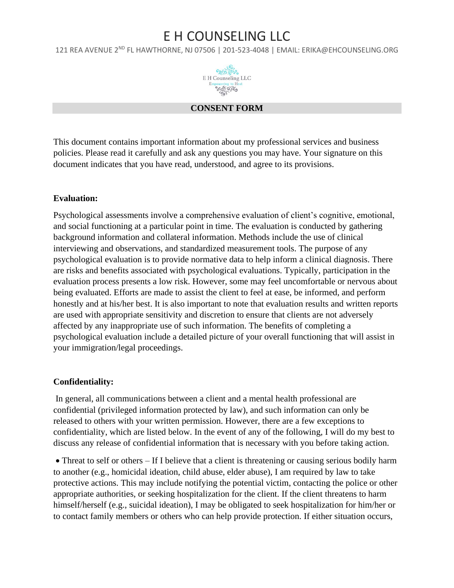121 REA AVENUE 2<sup>ND</sup> FL HAWTHORNE, NJ 07506 | 201-523-4048 | EMAIL: ERIKA@EHCOUNSELING.ORG



### **CONSENT FORM**

This document contains important information about my professional services and business policies. Please read it carefully and ask any questions you may have. Your signature on this document indicates that you have read, understood, and agree to its provisions.

### **Evaluation:**

Psychological assessments involve a comprehensive evaluation of client's cognitive, emotional, and social functioning at a particular point in time. The evaluation is conducted by gathering background information and collateral information. Methods include the use of clinical interviewing and observations, and standardized measurement tools. The purpose of any psychological evaluation is to provide normative data to help inform a clinical diagnosis. There are risks and benefits associated with psychological evaluations. Typically, participation in the evaluation process presents a low risk. However, some may feel uncomfortable or nervous about being evaluated. Efforts are made to assist the client to feel at ease, be informed, and perform honestly and at his/her best. It is also important to note that evaluation results and written reports are used with appropriate sensitivity and discretion to ensure that clients are not adversely affected by any inappropriate use of such information. The benefits of completing a psychological evaluation include a detailed picture of your overall functioning that will assist in your immigration/legal proceedings.

### **Confidentiality:**

In general, all communications between a client and a mental health professional are confidential (privileged information protected by law), and such information can only be released to others with your written permission. However, there are a few exceptions to confidentiality, which are listed below. In the event of any of the following, I will do my best to discuss any release of confidential information that is necessary with you before taking action.

• Threat to self or others – If I believe that a client is threatening or causing serious bodily harm to another (e.g., homicidal ideation, child abuse, elder abuse), I am required by law to take protective actions. This may include notifying the potential victim, contacting the police or other appropriate authorities, or seeking hospitalization for the client. If the client threatens to harm himself/herself (e.g., suicidal ideation), I may be obligated to seek hospitalization for him/her or to contact family members or others who can help provide protection. If either situation occurs,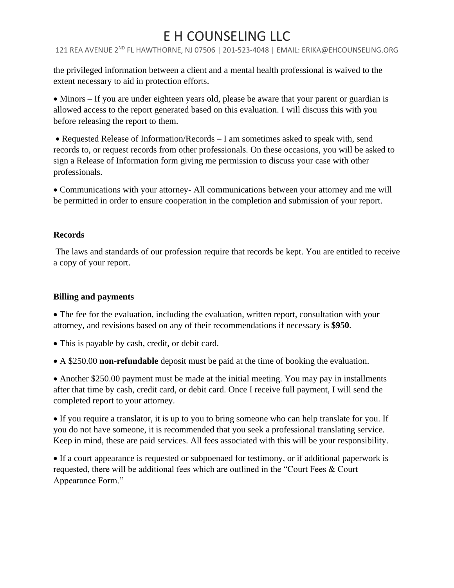121 REA AVENUE 2ND FL HAWTHORNE, NJ 07506 | 201-523-4048 | EMAIL: ERIKA@EHCOUNSELING.ORG

the privileged information between a client and a mental health professional is waived to the extent necessary to aid in protection efforts.

• Minors – If you are under eighteen years old, please be aware that your parent or guardian is allowed access to the report generated based on this evaluation. I will discuss this with you before releasing the report to them.

• Requested Release of Information/Records – I am sometimes asked to speak with, send records to, or request records from other professionals. On these occasions, you will be asked to sign a Release of Information form giving me permission to discuss your case with other professionals.

• Communications with your attorney- All communications between your attorney and me will be permitted in order to ensure cooperation in the completion and submission of your report.

## **Records**

The laws and standards of our profession require that records be kept. You are entitled to receive a copy of your report.

## **Billing and payments**

• The fee for the evaluation, including the evaluation, written report, consultation with your attorney, and revisions based on any of their recommendations if necessary is **\$950**.

- This is payable by cash, credit, or debit card.
- A \$250.00 **non-refundable** deposit must be paid at the time of booking the evaluation.

• Another \$250.00 payment must be made at the initial meeting. You may pay in installments after that time by cash, credit card, or debit card. Once I receive full payment, I will send the completed report to your attorney.

• If you require a translator, it is up to you to bring someone who can help translate for you. If you do not have someone, it is recommended that you seek a professional translating service. Keep in mind, these are paid services. All fees associated with this will be your responsibility.

• If a court appearance is requested or subpoenaed for testimony, or if additional paperwork is requested, there will be additional fees which are outlined in the "Court Fees & Court Appearance Form."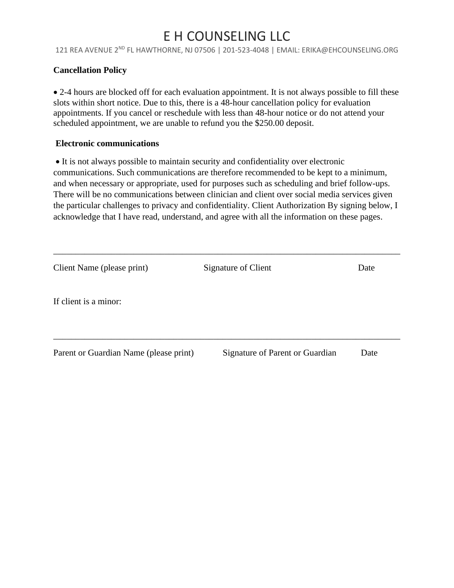121 REA AVENUE 2ND FL HAWTHORNE, NJ 07506 | 201-523-4048 | EMAIL: ERIKA@EHCOUNSELING.ORG

## **Cancellation Policy**

• 2-4 hours are blocked off for each evaluation appointment. It is not always possible to fill these slots within short notice. Due to this, there is a 48-hour cancellation policy for evaluation appointments. If you cancel or reschedule with less than 48-hour notice or do not attend your scheduled appointment, we are unable to refund you the \$250.00 deposit.

### **Electronic communications**

• It is not always possible to maintain security and confidentiality over electronic communications. Such communications are therefore recommended to be kept to a minimum, and when necessary or appropriate, used for purposes such as scheduling and brief follow-ups. There will be no communications between clinician and client over social media services given the particular challenges to privacy and confidentiality. Client Authorization By signing below, I acknowledge that I have read, understand, and agree with all the information on these pages.

\_\_\_\_\_\_\_\_\_\_\_\_\_\_\_\_\_\_\_\_\_\_\_\_\_\_\_\_\_\_\_\_\_\_\_\_\_\_\_\_\_\_\_\_\_\_\_\_\_\_\_\_\_\_\_\_\_\_\_\_\_\_\_\_\_\_\_\_\_\_\_\_\_\_\_\_\_\_

| Parent or Guardian Name (please print) | Signature of Parent or Guardian | Date |
|----------------------------------------|---------------------------------|------|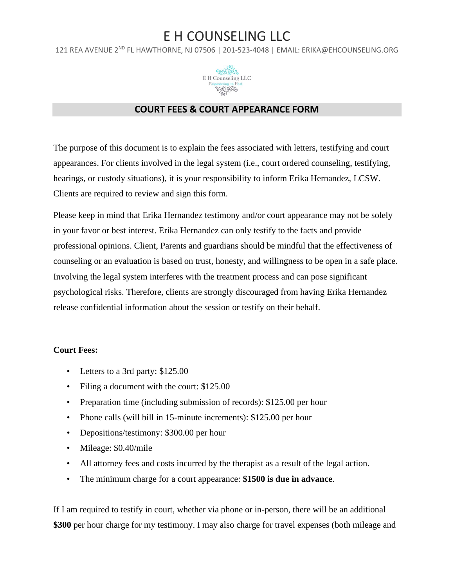121 REA AVENUE 2<sup>ND</sup> FL HAWTHORNE, NJ 07506 | 201-523-4048 | EMAIL: ERIKA@EHCOUNSELING.ORG



## **COURT FEES & COURT APPEARANCE FORM**

The purpose of this document is to explain the fees associated with letters, testifying and court appearances. For clients involved in the legal system (i.e., court ordered counseling, testifying, hearings, or custody situations), it is your responsibility to inform Erika Hernandez, LCSW. Clients are required to review and sign this form.

Please keep in mind that Erika Hernandez testimony and/or court appearance may not be solely in your favor or best interest. Erika Hernandez can only testify to the facts and provide professional opinions. Client, Parents and guardians should be mindful that the effectiveness of counseling or an evaluation is based on trust, honesty, and willingness to be open in a safe place. Involving the legal system interferes with the treatment process and can pose significant psychological risks. Therefore, clients are strongly discouraged from having Erika Hernandez release confidential information about the session or testify on their behalf.

### **Court Fees:**

- Letters to a 3rd party: \$125.00
- Filing a document with the court: \$125.00
- Preparation time (including submission of records): \$125.00 per hour
- Phone calls (will bill in 15-minute increments): \$125.00 per hour
- Depositions/testimony: \$300.00 per hour
- Mileage: \$0.40/mile
- All attorney fees and costs incurred by the therapist as a result of the legal action.
- The minimum charge for a court appearance: **\$1500 is due in advance**.

If I am required to testify in court, whether via phone or in-person, there will be an additional **\$300** per hour charge for my testimony. I may also charge for travel expenses (both mileage and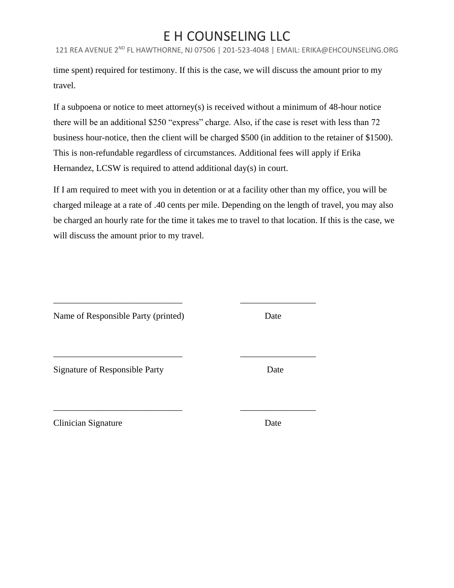121 REA AVENUE 2ND FL HAWTHORNE, NJ 07506 | 201-523-4048 | EMAIL: ERIKA@EHCOUNSELING.ORG

time spent) required for testimony. If this is the case, we will discuss the amount prior to my travel.

If a subpoena or notice to meet attorney(s) is received without a minimum of 48-hour notice there will be an additional \$250 "express" charge. Also, if the case is reset with less than 72 business hour-notice, then the client will be charged \$500 (in addition to the retainer of \$1500). This is non-refundable regardless of circumstances. Additional fees will apply if Erika Hernandez, LCSW is required to attend additional day(s) in court.

If I am required to meet with you in detention or at a facility other than my office, you will be charged mileage at a rate of .40 cents per mile. Depending on the length of travel, you may also be charged an hourly rate for the time it takes me to travel to that location. If this is the case, we will discuss the amount prior to my travel.

\_\_\_\_\_\_\_\_\_\_\_\_\_\_\_\_\_\_\_\_\_\_\_\_\_\_\_\_\_ \_\_\_\_\_\_\_\_\_\_\_\_\_\_\_\_\_

\_\_\_\_\_\_\_\_\_\_\_\_\_\_\_\_\_\_\_\_\_\_\_\_\_\_\_\_\_ \_\_\_\_\_\_\_\_\_\_\_\_\_\_\_\_\_

\_\_\_\_\_\_\_\_\_\_\_\_\_\_\_\_\_\_\_\_\_\_\_\_\_\_\_\_\_ \_\_\_\_\_\_\_\_\_\_\_\_\_\_\_\_\_

Name of Responsible Party (printed) Date

Signature of Responsible Party Date

Clinician Signature Date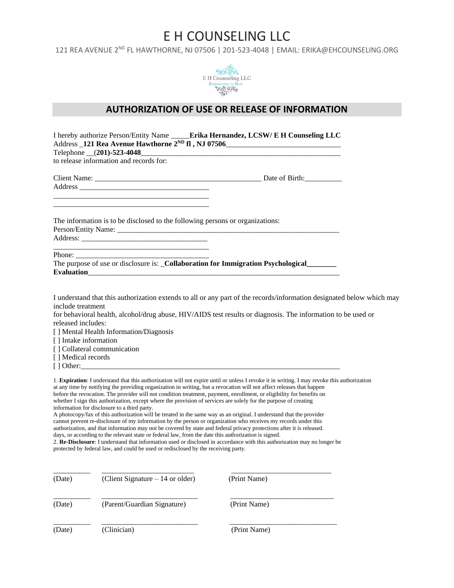121 REA AVENUE 2<sup>ND</sup> FL HAWTHORNE, NJ 07506 | 201-523-4048 | EMAIL: ERIKA@EHCOUNSELING.ORG



### **AUTHORIZATION OF USE OR RELEASE OF INFORMATION**

| I hereby authorize Person/Entity Name _____ <b>Erika Hernandez, LCSW/E H Counseling LLC</b>                                                                     |                                                                                                                                                                                                                                       |
|-----------------------------------------------------------------------------------------------------------------------------------------------------------------|---------------------------------------------------------------------------------------------------------------------------------------------------------------------------------------------------------------------------------------|
| to release information and records for:                                                                                                                         |                                                                                                                                                                                                                                       |
|                                                                                                                                                                 |                                                                                                                                                                                                                                       |
| The information is to be disclosed to the following persons or organizations:                                                                                   |                                                                                                                                                                                                                                       |
| The purpose of use or disclosure is: _Collaboration for Immigration Psychological______                                                                         |                                                                                                                                                                                                                                       |
| include treatment<br>released includes:<br>[] Mental Health Information/Diagnosis<br>[] Intake information<br>[] Collateral communication<br>[] Medical records | I understand that this authorization extends to all or any part of the records/information designated below which may<br>for behavioral health, alcohol/drug abuse, HIV/AIDS test results or diagnosis. The information to be used or |
|                                                                                                                                                                 | 1. Expiration: I understand that this authorization will not expire until or unless I revoke it in writing. I may revoke this authorization                                                                                           |

at any time by notifying the providing organization in writing, but a revocation will not affect releases that happen before the revocation. The provider will not condition treatment, payment, enrollment, or eligibility for benefits on whether I sign this authorization, except where the provision of services are solely for the purpose of creating information for disclosure to a third party.

A photocopy/fax of this authorization will be treated in the same way as an original. I understand that the provider cannot prevent re-disclosure of my information by the person or organization who receives my records under this authorization, and that information may not be covered by state and federal privacy protections after it is released. days, or according to the relevant state or federal law, from the date this authorization is signed.

2. **Re-Disclosure**: I understand that information used or disclosed in accordance with this authorization may no longer be protected by federal law, and could be used or redisclosed by the receiving party.

| (Date) | (Client Signature $-14$ or older) | (Print Name) |
|--------|-----------------------------------|--------------|
| (Date) | (Parent/Guardian Signature)       | (Print Name) |
| (Date) | (Clinician)                       | (Print Name) |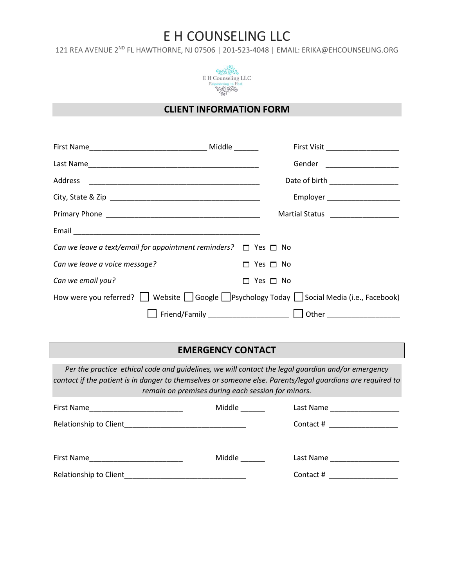121 REA AVENUE 2<sup>ND</sup> FL HAWTHORNE, NJ 07506 | 201-523-4048 | EMAIL: ERIKA@EHCOUNSELING.ORG



### **CLIENT INFORMATION FORM**

|                                                                                      | First Visit _____________________  |
|--------------------------------------------------------------------------------------|------------------------------------|
|                                                                                      | Gender _____________________       |
|                                                                                      | Date of birth ___________________  |
|                                                                                      | Employer _______________________   |
|                                                                                      | Martial Status ___________________ |
|                                                                                      |                                    |
| Can we leave a text/email for appointment reminders? $\Box$ Yes $\Box$ No            |                                    |
| Can we leave a voice message?                                                        | $\Box$ Yes $\Box$ No               |
| Can we email you?                                                                    | $\Box$ Yes $\Box$ No               |
| How were you referred? Website Google Psychology Today Social Media (i.e., Facebook) |                                    |
|                                                                                      | Other ______________________       |

## **EMERGENCY CONTACT**

*Per the practice ethical code and guidelines, we will contact the legal guardian and/or emergency contact if the patient is in danger to themselves or someone else. Parents/legal guardians are required to remain on premises during each session for minors.*

| First Name                                                                                                                          | Middle |                                                           |
|-------------------------------------------------------------------------------------------------------------------------------------|--------|-----------------------------------------------------------|
| Relationship to Client                                                                                                              |        | Contact #<br>the control of the control of the control of |
| First Name<br><u> 1989 - Johann Harry Harry Harry Harry Harry Harry Harry Harry Harry Harry Harry Harry Harry Harry Harry Harry</u> | Middle | Last Name                                                 |
| Relationship to Client                                                                                                              |        | Contact #                                                 |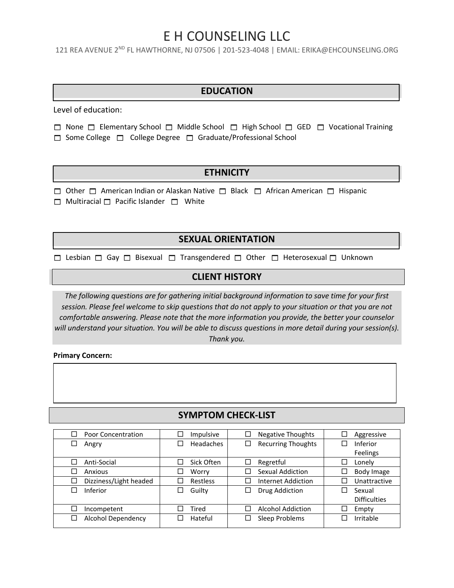121 REA AVENUE 2<sup>ND</sup> FL HAWTHORNE, NJ 07506 | 201-523-4048 | EMAIL: ERIKA@EHCOUNSELING.ORG

### **EDUCATION**

Level of education:

- $\Box$  None  $\Box$  Elementary School  $\Box$  Middle School  $\Box$  High School  $\Box$  GED  $\Box$  Vocational Training
- $\Box$  Some College  $\Box$  College Degree  $\Box$  Graduate/Professional School

### **ETHNICITY**

 $\Box$  Other  $\Box$  American Indian or Alaskan Native  $\Box$  Black  $\Box$  African American  $\Box$  Hispanic

 $\Box$  Multiracial  $\Box$  Pacific Islander  $\Box$  White

## **SEXUAL ORIENTATION**

 $\Box$  Lesbian  $\Box$  Gay  $\Box$  Bisexual  $\Box$  Transgendered  $\Box$  Other  $\Box$  Heterosexual  $\Box$  Unknown

### **CLIENT HISTORY**

*The following questions are for gathering initial background information to save time for your first session. Please feel welcome to skip questions that do not apply to your situation or that you are not comfortable answering. Please note that the more information you provide, the better your counselor will understand your situation. You will be able to discuss questions in more detail during your session(s). Thank you.*

**Primary Concern:**

### **SYMPTOM CHECK-LIST**

| Π<br>Poor Concentration             | Impulsive        | <b>Negative Thoughts</b>  | Aggressive<br>⊔          |
|-------------------------------------|------------------|---------------------------|--------------------------|
| $\Box$<br>Angry                     | <b>Headaches</b> | <b>Recurring Thoughts</b> | Inferior                 |
|                                     |                  |                           | Feelings                 |
| П<br>Anti-Social                    | Sick Often       | Regretful                 | Lonely                   |
| $\Box$<br>Anxious                   | Worry            | Sexual Addiction          | Body Image<br>⊔          |
| Dizziness/Light headed<br>$\Box$    | Restless         | Internet Addiction        | Unattractive             |
| Inferior<br>Π                       | Guilty           | Drug Addiction            | Sexual<br>$\blacksquare$ |
|                                     |                  |                           | <b>Difficulties</b>      |
| □<br>Incompetent                    | Tired            | <b>Alcohol Addiction</b>  | Empty                    |
| <b>Alcohol Dependency</b><br>$\Box$ | Hateful          | Sleep Problems            | Irritable                |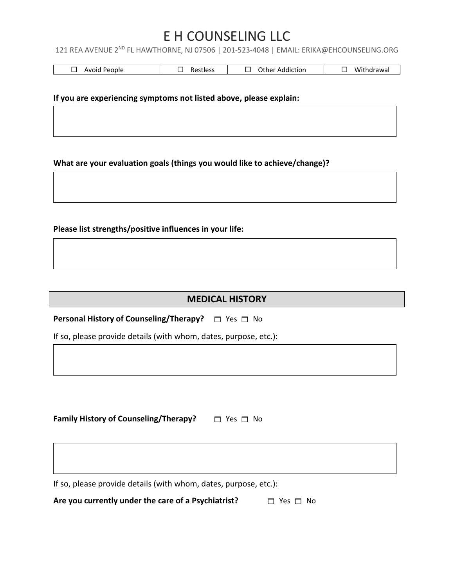121 REA AVENUE 2<sup>ND</sup> FL HAWTHORNE, NJ 07506 | 201-523-4048 | EMAIL: ERIKA@EHCOUNSELING.ORG

| People<br>Avoid | Restless | Other<br>Addiction | .<br>`'ithdrawal<br>WL. |
|-----------------|----------|--------------------|-------------------------|
|-----------------|----------|--------------------|-------------------------|

#### **If you are experiencing symptoms not listed above, please explain:**

**What are your evaluation goals (things you would like to achieve/change)?**

**Please list strengths/positive influences in your life:**

## **MEDICAL HISTORY**

**Personal History of Counseling/Therapy?** □ Yes □ No

If so, please provide details (with whom, dates, purpose, etc.):

**Family History of Counseling/Therapy?** □ Yes □ No

If so, please provide details (with whom, dates, purpose, etc.):

**Are you currently under the care of a Psychiatrist?**  $\Box$  Yes  $\Box$  No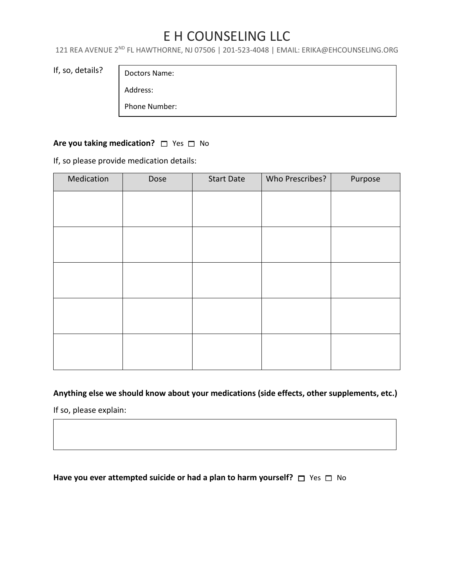121 REA AVENUE 2<sup>ND</sup> FL HAWTHORNE, NJ 07506 | 201-523-4048 | EMAIL: ERIKA@EHCOUNSELING.ORG

If, so, details?

Doctors Name:

Address:

Phone Number:

## **Are you taking medication?**  $\Box$  Yes  $\Box$  No

If, so please provide medication details:

| Medication | Dose | <b>Start Date</b> | Who Prescribes? | Purpose |
|------------|------|-------------------|-----------------|---------|
|            |      |                   |                 |         |
|            |      |                   |                 |         |
|            |      |                   |                 |         |
|            |      |                   |                 |         |
|            |      |                   |                 |         |
|            |      |                   |                 |         |
|            |      |                   |                 |         |
|            |      |                   |                 |         |
|            |      |                   |                 |         |
|            |      |                   |                 |         |

## **Anything else we should know about your medications (side effects, other supplements, etc.)**

If so, please explain:

### **Have you ever attempted suicide or had a plan to harm yourself?** □ Yes □ No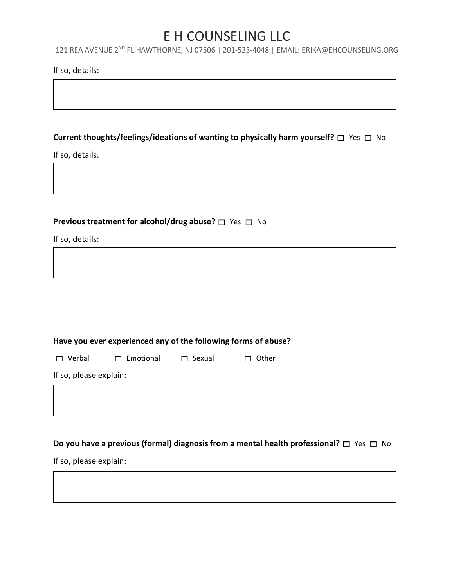121 REA AVENUE 2<sup>ND</sup> FL HAWTHORNE, NJ 07506 | 201-523-4048 | EMAIL: ERIKA@EHCOUNSELING.ORG

#### If so, details:

## **Current thoughts/feelings/ideations of wanting to physically harm yourself?** □ Yes □ No

If so, details:

## **Previous treatment for alcohol/drug abuse?**  $\Box$  Yes  $\Box$  No

If so, details:

| Have you ever experienced any of the following forms of abuse? |  |  |  |
|----------------------------------------------------------------|--|--|--|
|                                                                |  |  |  |

| Verba |
|-------|

Г

 $\Box$  Emotional  $\Box$  Sexual  $\Box$  Other

If so, please explain:

## **Do you have a previous (formal) diagnosis from a mental health professional?**  $\Box$  Yes  $\Box$  No

If so, please explain: